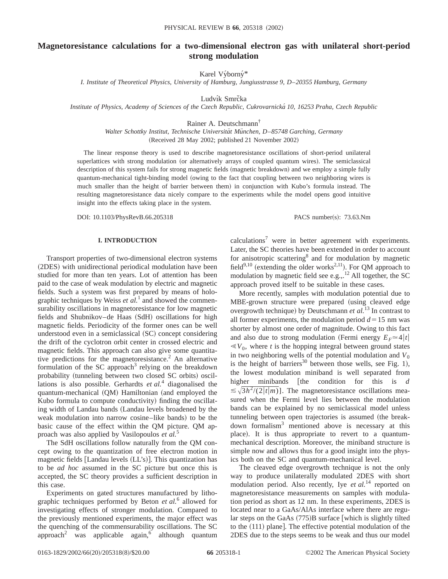# **Magnetoresistance calculations for a two-dimensional electron gas with unilateral short-period strong modulation**

Karel Výborný\*

*I. Institute of Theoretical Physics, University of Hamburg, Jungiusstrasse 9, D*–*20355 Hamburg, Germany*

Ludvík Smrčka

*Institute of Physics, Academy of Sciences of the Czech Republic, Cukrovarnicka´ 10, 16253 Praha, Czech Republic*

Rainer A. Deutschmann†

*Walter Schottky Institut, Technische Universita¨t Mu¨nchen, D*–*85748 Garching, Germany* (Received 28 May 2002; published 21 November 2002)

The linear response theory is used to describe magnetoresistance oscillations of short-period unilateral superlattices with strong modulation (or alternatively arrays of coupled quantum wires). The semiclassical description of this system fails for strong magnetic fields (magnetic breakdown) and we employ a simple fully quantum-mechanical tight-binding model (owing to the fact that coupling between two neighboring wires is much smaller than the height of barrier between them) in conjunction with Kubo's formula instead. The resulting magnetoresistance data nicely compare to the experiments while the model opens good intuitive insight into the effects taking place in the system.

DOI: 10.1103/PhysRevB.66.205318 PACS number(s): 73.63.Nm

## **I. INTRODUCTION**

Transport properties of two-dimensional electron systems (2DES) with unidirectional periodical modulation have been studied for more than ten years. Lot of attention has been paid to the case of weak modulation by electric and magnetic fields. Such a system was first prepared by means of holographic techniques by Weiss *et al.*<sup>1</sup> and showed the commensurability oscillations in magnetoresistance for low magnetic fields and Shubnikov–de Haas (SdH) oscillations for high magnetic fields. Periodicity of the former ones can be well understood even in a semiclassical  $(SC)$  concept considering the drift of the cyclotron orbit center in crossed electric and magnetic fields. This approach can also give some quantitative predictions for the magnetoresistance.<sup>2</sup> An alternative formulation of the SC approach<sup>3</sup> relying on the breakdown probability (tunneling between two closed SC orbits) oscillations is also possible. Gerhardts *et al.*<sup>4</sup> diagonalised the quantum-mechanical (QM) Hamiltonian (and employed the Kubo formula to compute conductivity) finding the oscillating width of Landau bands (Landau levels broadened by the weak modulation into narrow cosine–like bands) to be the basic cause of the effect within the QM picture. QM approach was also applied by Vasilopoulos *et al.*<sup>5</sup>

The SdH oscillations follow naturally from the QM concept owing to the quantization of free electron motion in magnetic fields  $[Landau levels (LL's)]$ . This quantization has to be *ad hoc* assumed in the SC picture but once this is accepted, the SC theory provides a sufficient description in this case.

Experiments on gated structures manufactured by lithographic techniques performed by Beton *et al.*<sup>6</sup> allowed for investigating effects of stronger modulation. Compared to the previously mentioned experiments, the major effect was the quenching of the commensurability oscillations. The SC approach<sup>2</sup> was applicable again,<sup>6</sup> although quantum

calculations<sup>7</sup> were in better agreement with experiments. Later, the SC theories have been extended in order to account for anisotropic scattering<sup>8</sup> and for modulation by magnetic field $9,10$  (extending the older works<sup>2,11</sup>). For QM approach to modulation by magnetic field see e.g.,  $^{12}$  All together, the SC approach proved itself to be suitable in these cases.

More recently, samples with modulation potential due to MBE-grown structure were prepared (using cleaved edge overgrowth technique) by Deutschmann *et al.*<sup>13</sup> In contrast to all former experiments, the modulation period  $d=15$  nm was shorter by almost one order of magnitude. Owing to this fact and also due to strong modulation (Fermi energy  $E_F \approx 4|t|$  $\ll V_0$ , where *t* is the hopping integral between ground states in two neighboring wells of the potential modulation and  $V_0$ is the height of barriers<sup>30</sup> between those wells, see Fig. 1), the lowest modulation miniband is well separated from higher minibands [the condition for this is *d*  $\leq \sqrt{3h^2/(2|t|m)}$ . The magnetoresistance oscillations measured when the Fermi level lies between the modulation bands can be explained by no semiclassical model unless tunneling between open trajectories is assumed (the breakdown formalism3 mentioned above is necessary at this place). It is thus appropriate to revert to a quantummechanical description. Moreover, the miniband structure is simple now and allows thus for a good insight into the physics both on the SC and quantum-mechanical level.

The cleaved edge overgrowth technique is not the only way to produce unilaterally modulated 2DES with short modulation period. Also recently, Iye *et al.*<sup>14</sup> reported on magnetoresistance measurements on samples with modulation period as short as 12 nm. In these experiments, 2DES is located near to a GaAs/AlAs interface where there are regular steps on the GaAs  $(775)B$  surface [which is slightly tilted to the  $(111)$  plane]. The effective potential modulation of the 2DES due to the steps seems to be weak and thus our model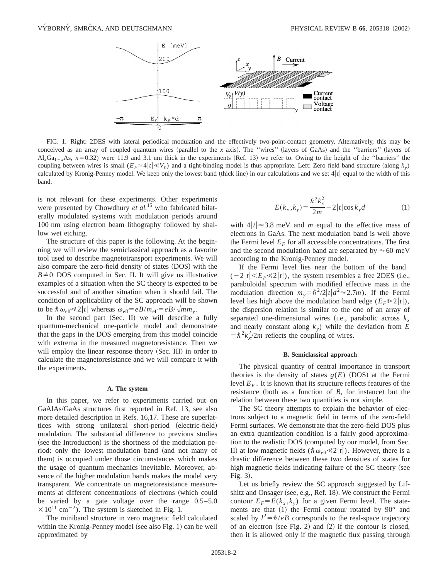

FIG. 1. Right: 2DES with lateral periodical modulation and the effectively two-point-contact geometry. Alternatively, this may be conceived as an array of coupled quantum wires (parallel to the *x* axis). The "wires" (layers of GaAs) and the "barriers" (layers of  $Al_xGa_{1-x}As$ ,  $x=0.32$ ) were 11.9 and 3.1 nm thick in the experiments (Ref. 13) we refer to. Owing to the height of the "barriers" the coupling between wires is small  $(E_F \approx 4|t| \ll V_0)$  and a tight-binding model is thus appropriate. Left: Zero field band structure (along  $k_y$ ) calculated by Kronig-Penney model. We keep only the lowest band (thick line) in our calculations and we set  $4|t|$  equal to the width of this band.

is not relevant for these experiments. Other experiments were presented by Chowdhury *et al.*<sup>15</sup> who fabricated bilaterally modulated systems with modulation periods around 100 nm using electron beam lithography followed by shallow wet etching.

The structure of this paper is the following. At the beginning we will review the semiclassical approach as a favorite tool used to describe magnetotransport experiments. We will also compare the zero-field density of states (DOS) with the  $B\neq 0$  DOS computed in Sec. II. It will give us illustrative examples of a situation when the SC theory is expected to be successful and of another situation when it should fail. The condition of applicability of the SC approach will be shown to be  $\hbar \omega_{\text{eff}} \ll 2|t|$  whereas  $\omega_{\text{eff}} = eB/m_{\text{eff}} = eB/\sqrt{mm_y}$ .

In the second part  $(Sec. II)$  we will describe a fully quantum-mechanical one-particle model and demonstrate that the gaps in the DOS emerging from this model coincide with extrema in the measured magnetoresistance. Then we will employ the linear response theory (Sec. III) in order to calculate the magnetoresistance and we will compare it with the experiments.

#### **A. The system**

In this paper, we refer to experiments carried out on GaAlAs/GaAs structures first reported in Ref. 13, see also more detailed description in Refs. 16,17. These are superlattices with strong unilateral short-period (electric-field) modulation. The substantial difference to previous studies (see the Introduction) is the shortness of the modulation period: only the lowest modulation band (and not many of them) is occupied under those circumstances which makes the usage of quantum mechanics inevitable. Moreover, absence of the higher modulation bands makes the model very transparent. We concentrate on magnetoresistance measurements at different concentrations of electrons (which could be varied by a gate voltage over the range 0.5–5.0  $\times 10^{11}$  cm<sup>-2</sup>). The system is sketched in Fig. 1.

The miniband structure in zero magnetic field calculated within the Kronig-Penney model (see also Fig.  $1$ ) can be well approximated by

$$
E(k_x, k_y) = \frac{\hbar^2 k_x^2}{2m} - 2|t|\cos k_y d
$$
 (1)

with  $4|t| \approx 3.8$  meV and *m* equal to the effective mass of electrons in GaAs. The next modulation band is well above the Fermi level  $E_F$  for all accessible concentrations. The first and the second modulation band are separated by  $\approx 60$  meV according to the Kronig-Penney model.

If the Fermi level lies near the bottom of the band  $(-2|t|, the system resembles a free 2DES (i.e.,$ paraboloidal spectrum with modified effective mass in the modulation direction  $m_v = \hbar^2/2|t|d^2 \approx 2.7m$ . If the Fermi level lies high above the modulation band edge  $(E_F \ge 2|t|)$ , the dispersion relation is similar to the one of an array of separated one-dimensional wires (i.e., parabolic across  $k<sub>r</sub>$ and nearly constant along  $k_y$ ) while the deviation from  $E$  $= \hbar^2 k_x^2 / 2m$  reflects the coupling of wires.

#### **B. Semiclassical approach**

The physical quantity of central importance in transport theories is the density of states  $g(E)$  (DOS) at the Fermi level  $E_F$ . It is known that its structure reflects features of the resistance (both as a function of  $B$ , for instance) but the relation between these two quantities is not simple.

The SC theory attempts to explain the behavior of electrons subject to a magnetic field in terms of the zero-field Fermi surfaces. We demonstrate that the zero-field DOS plus an extra quantization condition is a fairly good approximation to the realistic DOS (computed by our model, from Sec. II) at low magnetic fields ( $\hbar \omega_{\text{eff}} \ll 2|t|$ ). However, there is a drastic difference between these two densities of states for high magnetic fields indicating failure of the SC theory (see Fig.  $3$ ).

Let us briefly review the SC approach suggested by Lifshitz and Onsager (see, e.g., Ref. 18). We construct the Fermi contour  $E_F = E(k_x, k_y)$  for a given Fermi level. The statements are that  $(1)$  the Fermi contour rotated by  $90^{\circ}$  and scaled by  $l^2 = \hbar/eB$  corresponds to the real-space trajectory of an electron (see Fig. 2) and  $(2)$  if the contour is closed, then it is allowed only if the magnetic flux passing through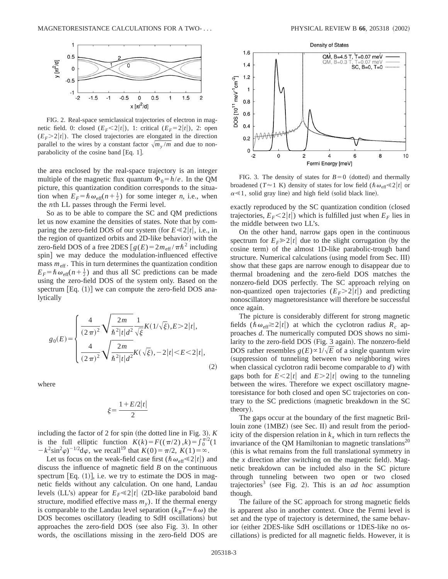

FIG. 2. Real-space semiclassical trajectories of electron in magnetic field. 0: closed  $(E_F < 2|t|)$ , 1: critical  $(E_F = 2|t|)$ , 2: open  $(E_F > 2|t|)$ . The closed trajectories are elongated in the direction parallel to the wires by a constant factor  $\sqrt{m_v/m}$  and due to nonparabolicity of the cosine band  $[Eq. 1]$ .

the area enclosed by the real-space trajectory is an integer multiple of the magnetic flux quantum  $\Phi_0 = h/e$ . In the QM picture, this quantization condition corresponds to the situation when  $E_F = \hbar \omega_{\text{eff}}(n + \frac{1}{2})$  for some integer *n*, i.e., when the *n*th LL passes through the Fermi level.

So as to be able to compare the SC and QM predictions let us now examine the densities of states. Note that by comparing the zero-field DOS of our system (for  $E \ll 2|t|$ , i.e., in the region of quantized orbits and 2D-like behavior) with the zero-field DOS of a free 2DES  $[g(E) = 2m_{\text{eff}} / \pi \hbar^2$  including spin] we may deduce the modulation-influenced effective mass  $m_{\text{eff}}$ . This in turn determines the quantization condition  $E_F = \hbar \omega_{\text{eff}}(n + \frac{1}{2})$  and thus all SC predictions can be made using the zero-field DOS of the system only. Based on the spectrum  $[Eq. (1)]$  we can compute the zero-field DOS analytically

$$
g_0(E) = \begin{cases} \frac{4}{(2\pi)^2} \sqrt{\frac{2m}{\hbar^2 |t| d^2}} \frac{1}{\sqrt{\xi}} K(1/\sqrt{\xi}), E > 2|t|, \\ \frac{4}{(2\pi)^2} \sqrt{\frac{2m}{\hbar^2 |t| d^2}} K(\sqrt{\xi}), -2|t| < E < 2|t|, \end{cases} \tag{2}
$$

where

$$
\xi\!=\!\frac{1+E/2\big|t\big|}{2}
$$

including the factor of  $2$  for spin (the dotted line in Fig. 3).  $K$ is the full elliptic function  $K(k) = F((\pi/2), k) = \int_0^{\pi/2} (1$  $-k^2 \sin^2 \varphi$ <sup>-1/2</sup>d $\varphi$ , we recall<sup>19</sup> that  $K(0) = \pi/2$ ,  $K(1) = \infty$ .

Let us focus on the weak-field case first ( $\hbar \omega_{\text{eff}} \ll 2|t|$ ) and discuss the influence of magnetic field *B* on the continuous spectrum  $\text{Eq. (1)}$ , i.e. we try to estimate the DOS in magnetic fields without any calculation. On one hand, Landau levels (LL's) appear for  $E_F \ll 2|t|$  (2D-like paraboloid band structure, modified effective mass  $m<sub>v</sub>$ ). If the thermal energy is comparable to the Landau level separation ( $k_B T \approx \hbar \omega$ ) the DOS becomes oscillatory (leading to SdH oscillations) but approaches the zero-field  $DOS$  (see also Fig. 3). In other words, the oscillations missing in the zero-field DOS are



FIG. 3. The density of states for  $B=0$  (dotted) and thermally broadened ( $T \approx 1$  K) density of states for low field ( $\hbar \omega_{\text{eff}} \ll 2|t|$  or  $\alpha \ll 1$ , solid gray line) and high field (solid black line).

exactly reproduced by the SC quantization condition (closed trajectories,  $E_F < 2|t|$ ) which is fulfilled just when  $E_F$  lies in the middle between two LL's.

On the other hand, narrow gaps open in the continuous spectrum for  $E_F \ge 2|t|$  due to the slight corrugation (by the cosine term) of the almost 1D-like parabolic-trough band structure. Numerical calculations (using model from Sec. III) show that these gaps are narrow enough to disappear due to thermal broadening and the zero-field DOS matches the nonzero-field DOS perfectly. The SC approach relying on non-quantized open trajectories  $(E_F > 2|t|)$  and predicting nonoscillatory magnetoresistance will therefore be successful once again.

The picture is considerably different for strong magnetic fields ( $\hbar \omega_{\text{eff}} \gtrsim 2|t|$ ) at which the cyclotron radius  $R_c$  approaches *d*. The numerically computed DOS shows no similarity to the zero-field DOS (Fig. 3 again). The nonzero-field DOS rather resembles  $g(E) \propto 1/\sqrt{E}$  of a single quantum wire (suppression of tunneling between two neighboring wires when classical cyclotron radii become comparable to *d*) with gaps both for  $E \leq 2|t|$  and  $E \geq 2|t|$  owing to the tunneling between the wires. Therefore we expect oscillatory magnetoresistance for both closed and open SC trajectories on contrary to the SC predictions (magnetic breakdown in the SC theory).

The gaps occur at the boundary of the first magnetic Brillouin zone  $(1MBZ)$  (see Sec. II) and result from the periodicity of the dispersion relation in  $k_x$  which in turn reflects the invariance of the QM Hamiltonian to magnetic translations<sup>20</sup> (this is what remains from the full translational symmetry in the  $x$  direction after switching on the magnetic field). Magnetic breakdown can be included also in the SC picture through tunneling between two open or two closed trajectories<sup>3</sup> (see Fig. 2). This is an *ad hoc* assumption though.

The failure of the SC approach for strong magnetic fields is apparent also in another context. Once the Fermi level is set and the type of trajectory is determined, the same behavior (either 2DES-like SdH oscillations or 1DES-like no oscillations) is predicted for all magnetic fields. However, it is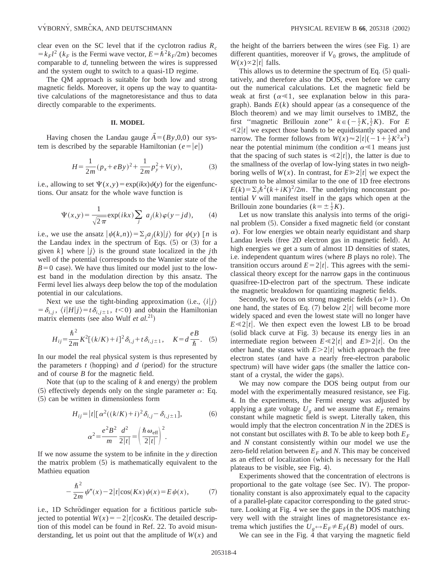clear even on the SC level that if the cyclotron radius *Rc*  $=k_F l^2$  ( $k_F$  is the Fermi wave vector,  $E = \hbar^2 k_F/2m$ ) becomes comparable to *d*, tunneling between the wires is suppressed and the system ought to switch to a quasi-1D regime.

The QM approach is suitable for both low and strong magnetic fields. Moreover, it opens up the way to quantitative calculations of the magnetoresistance and thus to data directly comparable to the experiments.

#### **II. MODEL**

Having chosen the Landau gauge  $\overline{A} = (By,0,0)$  our system is described by the separable Hamiltonian ( $e = |e|$ )

$$
H = \frac{1}{2m}(p_x + eBy)^2 + \frac{1}{2m}p_y^2 + V(y),
$$
 (3)

i.e., allowing to set  $\Psi(x,y) = \exp(ikx)\psi(y)$  for the eigenfunctions. Our ansatz for the whole wave function is

$$
\Psi(x,y) = \frac{1}{\sqrt{2\pi}} \exp(ikx) \sum_{j} a_j(k) \varphi(y - jd), \qquad (4)
$$

i.e., we use the ansatz  $|\psi(k,n)\rangle = \sum_{i} a_i(k)|j\rangle$  for  $\psi(y)$  [*n* is the Landau index in the spectrum of Eqs.  $(5)$  or  $(3)$  for a given *k*] where  $|j\rangle$  is the ground state localized in the *j*th well of the potential (corresponds to the Wannier state of the  $B=0$  case). We have thus limited our model just to the lowest band in the modulation direction by this ansatz. The Fermi level lies always deep below the top of the modulation potential in our calculations.

Next we use the tight-binding approximation (i.e.,  $\langle i|j\rangle$  $= \delta_{i,j}$ ,  $\langle i|H|j\rangle = t\delta_{i,j\pm 1}$ ,  $t<0$ ) and obtain the Hamiltonian matrix elements (see also Wulf *et al.*<sup>21</sup>)

$$
H_{ij} = \frac{\hbar^2}{2m} K^2 [(k/K) + i]^2 \delta_{i,j} + t \delta_{i,j \pm 1}, \quad K = d \frac{eB}{\hbar}.
$$
 (5)

In our model the real physical system is thus represented by the parameters  $t$  (hopping) and  $d$  (period) for the structure and of course *B* for the magnetic field.

Note that (up to the scaling of  $k$  and energy) the problem (5) effectively depends only on the single parameter  $\alpha$ : Eq.  $(5)$  can be written in dimensionless form

$$
H_{ij} = |t| [\alpha^2 ((k/K) + i)^2 \delta_{i,j} - \delta_{i,j \pm 1}],
$$
\n
$$
\alpha^2 = \frac{e^2 B^2}{m} \frac{d^2}{2|t|} = \left(\frac{\hbar \omega_{\text{eff}}}{2|t|}\right)^2.
$$
\n(6)

If we now assume the system to be infinite in the *y* direction the matrix problem  $(5)$  is mathematically equivalent to the Mathieu equation

$$
-\frac{\hbar^2}{2m}\psi''(x) - 2|t|\cos(Kx)\psi(x) = E\psi(x),\tag{7}
$$

i.e., 1D Schrödinger equation for a fictitious particle subjected to potential  $W(x) = -2|t|\cos Kx$ . The detailed description of this model can be found in Ref. 22. To avoid misunderstanding, let us point out that the amplitude of  $W(x)$  and the height of the barriers between the wires (see Fig. 1) are different quantities, moreover if  $V_0$  grows, the amplitude of  $W(x) \propto 2|t|$  falls.

This allows us to determine the spectrum of Eq.  $(5)$  qualitatively, and therefore also the DOS, even before we carry out the numerical calculations. Let the magnetic field be weak at first  $(\alpha \ll 1)$ , see explanation below in this paragraph). Bands  $E(k)$  should appear (as a consequence of the Bloch theorem) and we may limit ourselves to 1MBZ, the first "magnetic Brillouin zone"  $k \in \left(-\frac{1}{2}K, \frac{1}{2}K\right)$ . For *E*  $\leq 2|t|$  we expect those bands to be equidistantly spaced and narrow. The former follows from  $W(x) \approx 2|t|(-1 + \frac{1}{2}K^2x^2)$ near the potential minimum (the condition  $\alpha \ll 1$  means just that the spacing of such states is  $\ll 2|t|$ , the latter is due to the smallness of the overlap of low-lying states in two neighboring wells of  $W(x)$ . In contrast, for  $E \ge 2|t|$  we expect the spectrum to be almost similar to the one of 1D free electrons  $E(k) = \sum_i \hbar^2(k + iK)^2/2m$ . The underlying nonconstant potential *V* will manifest itself in the gaps which open at the Brillouin zone boundaries  $(k = \pm \frac{1}{2}K)$ .

Let us now translate this analysis into terms of the original problem  $(5)$ . Consider a fixed magnetic field (or constant  $\alpha$ ). For low energies we obtain nearly equidistant and sharp Landau levels (free 2D electron gas in magnetic field). At high energies we get a sum of almost 1D densities of states, i.e. independent quantum wires (where  $B$  plays no role). The transition occurs around  $E=2|t|$ . This agrees with the semiclassical theory except for the narrow gaps in the continuous quasifree-1D-electron part of the spectrum. These indicate the magnetic breakdown for quantizing magnetic fields.

Secondly, we focus on strong magnetic fields ( $\alpha \ge 1$ ). On one hand, the states of Eq.  $(7)$  below  $2|t|$  will become more widely spaced and even the lowest state will no longer have  $E \ll 2|t|$ . We then expect even the lowest LB to be broad (solid black curve at Fig. 3) because its energy lies in an intermediate region between  $E \ll 2|t|$  and  $E \gg 2|t|$ . On the other hand, the states with  $E > 2|t|$  which approach the free electron states (and have a nearly free-electron parabolic spectrum) will have wider gaps (the smaller the lattice constant of a crystal, the wider the gaps).

We may now compare the DOS being output from our model with the experimentally measured resistance, see Fig. 4. In the experiments, the Fermi energy was adjusted by applying a gate voltage  $U_g$  and we assume that  $E_F$  remains constant while magnetic field is swept. Literally taken, this would imply that the electron concentration *N* in the 2DES is not constant but oscillates with *B*. To be able to keep both  $E_F$ and *N* constant consistently within our model we use the zero-field relation between  $E_F$  and N. This may be conceived as an effect of localization (which is necessary for the Hall plateaus to be visible, see Fig. 4).

Experiments showed that the concentration of electrons is proportional to the gate voltage (see Sec. IV). The proportionality constant is also approximately equal to the capacity of a parallel-plate capacitor corresponding to the gated structure. Looking at Fig. 4 we see the gaps in the DOS matching very well with the straight lines of magnetoresistance extrema which justifies the  $U_g \leftrightarrow E_F \neq E_F(B)$  model of ours.

We can see in the Fig.  $\overline{4}$  that varying the magnetic field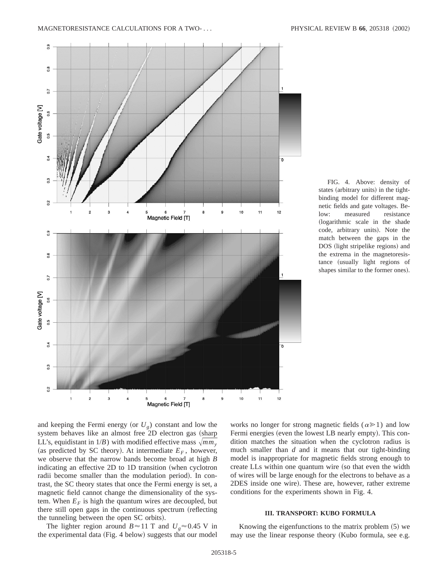

FIG. 4. Above: density of states (arbitrary units) in the tightbinding model for different magnetic fields and gate voltages. Below: measured resistance (logarithmic scale in the shade code, arbitrary units). Note the match between the gaps in the DOS (light stripelike regions) and the extrema in the magnetoresistance (usually light regions of shapes similar to the former ones).

and keeping the Fermi energy (or  $U_g$ ) constant and low the system behaves like an almost free 2D electron gas (sharp LL's, equidistant in  $1/B$ ) with modified effective mass  $\sqrt{mm_y}$ (as predicted by SC theory). At intermediate  $E_F$ , however, we observe that the narrow bands become broad at high *B* indicating an effective  $2D$  to  $1D$  transition (when cyclotron radii become smaller than the modulation period). In contrast, the SC theory states that once the Fermi energy is set, a magnetic field cannot change the dimensionality of the system. When  $E_F$  is high the quantum wires are decoupled, but there still open gaps in the continuous spectrum (reflecting the tunneling between the open SC orbits).

The lighter region around  $B \approx 11$  T and  $U_g \approx 0.45$  V in the experimental data (Fig. 4 below) suggests that our model works no longer for strong magnetic fields ( $\alpha \ge 1$ ) and low Fermi energies (even the lowest LB nearly empty). This condition matches the situation when the cyclotron radius is much smaller than *d* and it means that our tight-binding model is inappropriate for magnetic fields strong enough to create LLs within one quantum wire (so that even the width of wires will be large enough for the electrons to behave as a 2DES inside one wire). These are, however, rather extreme conditions for the experiments shown in Fig. 4.

## **III. TRANSPORT: KUBO FORMULA**

Knowing the eigenfunctions to the matrix problem  $(5)$  we may use the linear response theory (Kubo formula, see e.g.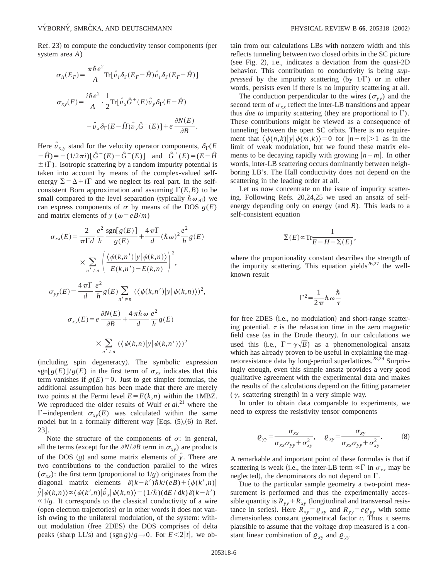Ref. 23) to compute the conductivity tensor components (per system area *A*)

$$
\sigma_{ii}(E_F) = \frac{\pi \hbar e^2}{A} \text{Tr}[\hat{v}_i \delta_\Gamma (E_F - \hat{H}) \hat{v}_i \delta_\Gamma (E_F - \hat{H})]
$$

$$
\sigma_{xy}(E) = \frac{i\hbar e^2}{A} \cdot \frac{1}{2} \text{Tr}[\hat{v}_x \hat{G}^+(E) \hat{v}_y \delta_\Gamma (E - \hat{H})
$$

$$
-\hat{v}_x \delta_\Gamma (E - \hat{H}) \hat{v}_y \hat{G}^-(E)] + e \frac{\partial N(E)}{\partial B}.
$$

Here  $v_{x,y}$  stand for the velocity operator components,  $\delta_{\Gamma}(E)$  $-\hat{H}$ ) = -(1/2 $\pi i$ ) $[\hat{G}^+(E) - \hat{G}^-(E)]$  and  $\hat{G}^{\pm}(E) = (E - \hat{H})$  $\pm i\Gamma$ ). Isotropic scattering by a random impurity potential is taken into account by means of the complex-valued selfenergy  $\Sigma = \Delta + i\Gamma$  and we neglect its real part. In the selfconsistent Born approximation and assuming  $\Gamma(E,B)$  to be small compared to the level separation (typically  $\hbar \omega_{\text{eff}}$ ) we can express components of  $\sigma$  by means of the DOS  $g(E)$ and matrix elements of *y* ( $\omega = eB/m$ )

$$
\sigma_{xx}(E) = \frac{2}{\pi \Gamma d} \frac{e^2}{h} \frac{\text{sgn}[g(E)]}{g(E)} + \frac{4 \pi \Gamma}{d} (\hbar \omega)^2 \frac{e^2}{h} g(E)
$$

$$
\times \sum_{n' \neq n} \left( \frac{\langle \psi(k, n') | y | \psi(k, n) \rangle}{E(k, n') - E(k, n)} \right)^2,
$$

$$
\sigma_{yy}(E) = \frac{4 \pi \Gamma}{d} \frac{e^2}{h} g(E) \sum_{n' \neq n} (\langle \psi(k, n') | y | \psi(k, n) \rangle)^2,
$$

$$
\sigma_{xy}(E) = e \frac{\partial N(E)}{\partial B} + \frac{4 \pi \hbar \omega}{d} \frac{e^2}{h} g(E)
$$

$$
\times \sum_{n' \neq n} (\langle \psi(k, n) | y | \psi(k, n') \rangle)^2
$$

(including spin degeneracy). The symbolic expression  $sgn[g(E)]/g(E)$  in the first term of  $\sigma_{xx}$  indicates that this term vanishes if  $g(E)=0$ . Just to get simpler formulas, the additional assumption has been made that there are merely two points at the Fermi level  $E = E(k, n)$  within the 1MBZ. We reproduced the older results of Wulf *et al.*<sup>21</sup> where the  $\Gamma$ –independent  $\sigma_{xy}(E)$  was calculated within the same model but in a formally different way [Eqs.  $(5)$ , $(6)$  in Ref. 23].

Note the structure of the components of  $\sigma$ : in general, all the terms (except for the  $\partial N/\partial B$  term in  $\sigma_{xy}$ ) are products of the DOS  $(g)$  and some matrix elements of  $\hat{y}$ . There are two contributions to the conduction parallel to the wires  $(\sigma_{xx})$ : the first term (proportional to 1/*g*) originates from the diagonal matrix elements  $\delta(k-k')\hbar k/(eB)+\langle \psi(k',n)|$  $\hat{y}|\psi(k,n)\rangle \propto \langle \psi(k',n)|\hat{v}_x|\psi(k,n)\rangle = (1/\hbar)(dE/dk)\delta(k-k')$  $\propto$  1/*g*. It corresponds to the classical conductivity of a wire (open electron trajectories) or in other words it does not vanish owing to the unilateral modulation, of the system: without modulation (free 2DES) the DOS comprises of delta peaks (sharp LL's) and  $(sgn g)/g \rightarrow 0$ . For  $E \leq 2|t|$ , we obtain from our calculations LBs with nonzero width and this reflects tunneling between two closed orbits in the SC picture (see Fig. 2), i.e., indicates a deviation from the quasi-2D behavior. This contribution to conductivity is being *suppressed* by the impurity scattering (by  $1/\Gamma$ ) or in other words, persists even if there is no impurity scattering at all.

The conduction perpendicular to the wires  $(\sigma_{yy})$  and the second term of  $\sigma_{xx}$  reflect the inter-LB transitions and appear thus *due to* impurity scattering (they are proportional to  $\Gamma$ ). These contributions might be viewed as a consequence of tunneling between the open SC orbits. There is no requirement that  $\langle \psi(n,k)|y|\psi(m,k)\rangle = 0$  for  $|n-m|>1$  as in the limit of weak modulation, but we found these matrix elements to be decaying rapidly with growing  $|n-m|$ . In other words, inter-LB scattering occurs dominantly between neighboring LB's. The Hall conductivity does not depend on the scattering in the leading order at all.

Let us now concentrate on the issue of impurity scattering. Following Refs. 20,24,25 we used an ansatz of selfenergy depending only on energy  $(and B)$ . This leads to a self-consistent equation

$$
\Sigma(E) \propto \text{Tr} \frac{1}{E - H - \Sigma(E)},
$$

where the proportionality constant describes the strength of the impurity scattering. This equation yields $^{26,27}$  the wellknown result

$$
\Gamma^2 = \frac{1}{2\pi} \hbar \omega \frac{\hbar}{\tau}
$$

for free 2DES (i.e., no modulation) and short-range scattering potential.  $\tau$  is the relaxation time in the zero magnetic field case (as in the Drude theory). In our calculations we used this (i.e.,  $\Gamma = \gamma \sqrt{B}$ ) as a phenomenological ansatz which has already proven to be useful in explaining the magnetoresistance data by long-period superlattices.<sup>28,29</sup> Surprisingly enough, even this simple ansatz provides a very good qualitative agreement with the experimental data and makes the results of the calculations depend on the fitting parameter  $(\gamma,$  scattering strength) in a very simple way.

In order to obtain data comparable to experiments, we need to express the resistivity tensor components

$$
\varrho_{yy} = \frac{\sigma_{xx}}{\sigma_{xx}\sigma_{yy} + \sigma_{xy}^2}, \quad \varrho_{xy} = \frac{\sigma_{xy}}{\sigma_{xx}\sigma_{yy} + \sigma_{xy}^2}.
$$
 (8)

A remarkable and important point of these formulas is that if scattering is weak (i.e., the inter-LB term  $\alpha \Gamma$  in  $\sigma_{xx}$  may be neglected), the denominators do not depend on  $\Gamma$ .

Due to the particular sample geometry a two-point measurement is performed and thus the experimentally accessible quantity is  $R_{yy} + R_{xy}$  (longitudinal and transversal resistance in series). Here  $R_{xy} = \rho_{xy}$  and  $R_{yy} = c \rho_{yy}$  with some dimensionless constant geometrical factor *c*. Thus it seems plausible to assume that the voltage drop measured is a constant linear combination of  $\varrho_{xy}$  and  $\varrho_{yy}$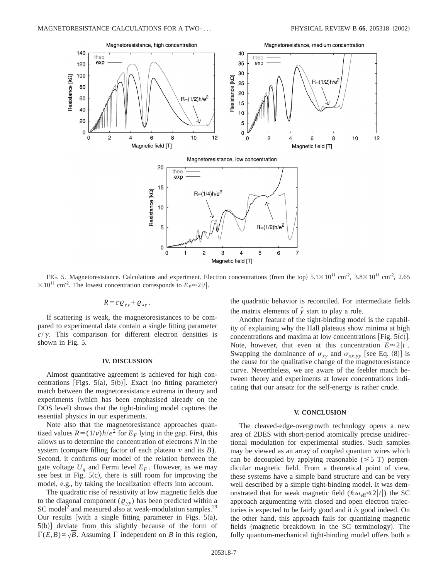

FIG. 5. Magnetoresistance. Calculations and experiment. Electron concentrations (from the top)  $5.1 \times 10^{11}$  cm<sup>-2</sup>,  $3.8 \times 10^{11}$  cm<sup>-2</sup>,  $2.65$  $\times 10^{11}$  cm<sup>-2</sup>. The lowest concentration corresponds to  $E_F \approx 2|t|$ .

$$
R = c \varrho_{yy} + \varrho_{xy}.
$$

If scattering is weak, the magnetoresistances to be compared to experimental data contain a single fitting parameter  $c/\gamma$ . This comparison for different electron densities is shown in Fig. 5.

## **IV. DISCUSSION**

Almost quantitative agreement is achieved for high concentrations [Figs.  $5(a)$ ,  $5(b)$ ]. Exact (no fitting parameter) match between the magnetoresistance extrema in theory and experiments (which has been emphasised already on the DOS level) shows that the tight-binding model captures the essential physics in our experiments.

Note also that the magnetoresistance approaches quantized values  $R = (1/\nu)h/e^2$  for  $E_F$  lying in the gap. First, this allows us to determine the concentration of electrons *N* in the system (compare filling factor of each plateau  $\nu$  and its  $B$ ). Second, it confirms our model of the relation between the gate voltage  $U_{g}$  and Fermi level  $E_{F}$ . However, as we may see best in Fig.  $5(c)$ , there is still room for improving the model, e.g., by taking the localization effects into account.

The quadratic rise of resistivity at low magnetic fields due to the diagonal component  $(Q_{yy})$  has been predicted within a SC model<sup>2</sup> and measured also at weak-modulation samples.<sup>29</sup> Our results [with a single fitting parameter in Figs.  $5(a)$ ,  $5(b)$ ] deviate from this slightly because of the form of  $\Gamma(E,B) \propto \sqrt{B}$ . Assuming  $\Gamma$  independent on *B* in this region, the quadratic behavior is reconciled. For intermediate fields the matrix elements of  $\hat{y}$  start to play a role.

Another feature of the tight-binding model is the capability of explaining why the Hall plateaus show minima at high concentrations and maxima at low concentrations [Fig.  $5(c)$ ]. Note, however, that even at this concentration  $E \approx 2|t|$ . Swapping the dominance of  $\sigma_{xy}$  and  $\sigma_{xx,yy}$  [see Eq. (8)] is the cause for the qualitative change of the magnetoresistance curve. Nevertheless, we are aware of the feebler match between theory and experiments at lower concentrations indicating that our ansatz for the self-energy is rather crude.

#### **V. CONCLUSION**

The cleaved-edge-overgrowth technology opens a new area of 2DES with short-period atomically precise unidirectional modulation for experimental studies. Such samples may be viewed as an array of coupled quantum wires which can be decoupled by applying reasonable  $(\leq 5 \text{ T})$  perpendicular magnetic field. From a theoretical point of view, these systems have a simple band structure and can be very well described by a simple tight-binding model. It was demonstrated that for weak magnetic field  $(\hbar \omega_{\text{eff}} \ll 2|t|)$  the SC approach argumenting with closed and open electron trajectories is expected to be fairly good and it *is* good indeed. On the other hand, this approach fails for quantizing magnetic fields (magnetic breakdown in the SC terminology). The fully quantum-mechanical tight-binding model offers both a